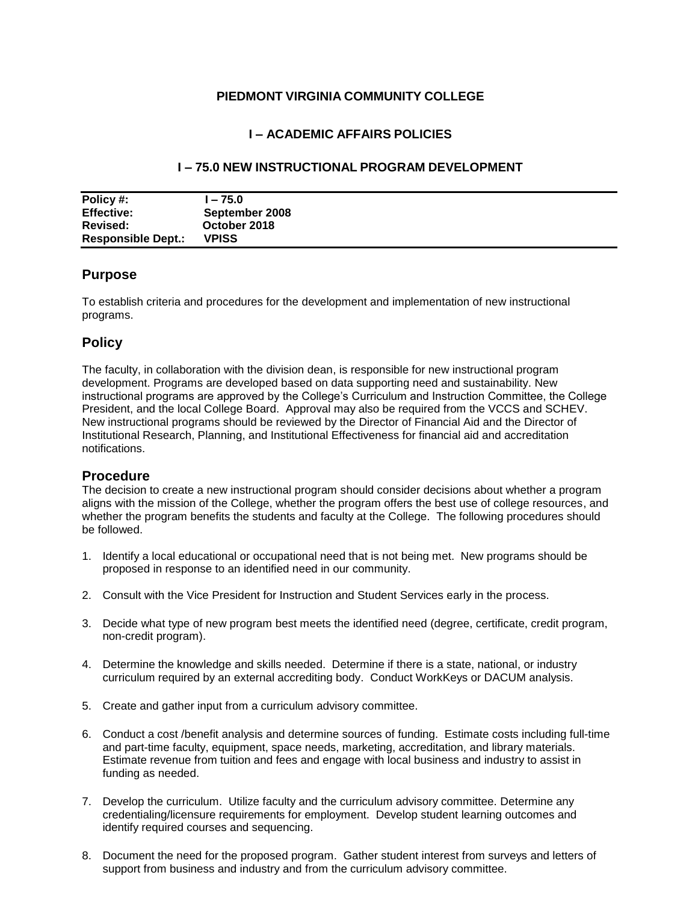#### **PIEDMONT VIRGINIA COMMUNITY COLLEGE**

# **I – ACADEMIC AFFAIRS POLICIES**

#### **I – 75.0 NEW INSTRUCTIONAL PROGRAM DEVELOPMENT**

| Policy #:                 | l – 75.0       |
|---------------------------|----------------|
| <b>Effective:</b>         | September 2008 |
| Revised:                  | October 2018   |
| <b>Responsible Dept.:</b> | <b>VPISS</b>   |

# **Purpose**

To establish criteria and procedures for the development and implementation of new instructional programs.

# **Policy**

The faculty, in collaboration with the division dean, is responsible for new instructional program development. Programs are developed based on data supporting need and sustainability. New instructional programs are approved by the College's Curriculum and Instruction Committee, the College President, and the local College Board. Approval may also be required from the VCCS and SCHEV. New instructional programs should be reviewed by the Director of Financial Aid and the Director of Institutional Research, Planning, and Institutional Effectiveness for financial aid and accreditation notifications.

#### **Procedure**

The decision to create a new instructional program should consider decisions about whether a program aligns with the mission of the College, whether the program offers the best use of college resources, and whether the program benefits the students and faculty at the College. The following procedures should be followed.

- 1. Identify a local educational or occupational need that is not being met. New programs should be proposed in response to an identified need in our community.
- 2. Consult with the Vice President for Instruction and Student Services early in the process.
- 3. Decide what type of new program best meets the identified need (degree, certificate, credit program, non-credit program).
- 4. Determine the knowledge and skills needed. Determine if there is a state, national, or industry curriculum required by an external accrediting body. Conduct WorkKeys or DACUM analysis.
- 5. Create and gather input from a curriculum advisory committee.
- 6. Conduct a cost /benefit analysis and determine sources of funding. Estimate costs including full-time and part-time faculty, equipment, space needs, marketing, accreditation, and library materials. Estimate revenue from tuition and fees and engage with local business and industry to assist in funding as needed.
- 7. Develop the curriculum. Utilize faculty and the curriculum advisory committee. Determine any credentialing/licensure requirements for employment. Develop student learning outcomes and identify required courses and sequencing.
- 8. Document the need for the proposed program. Gather student interest from surveys and letters of support from business and industry and from the curriculum advisory committee.